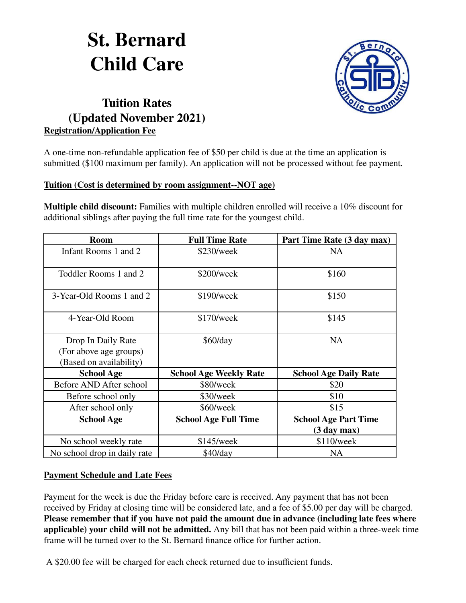# **St. Bernard Child Care**



# **Tuition Rates (Updated November 2021) Registration/Application Fee**

A one-time non-refundable application fee of \$50 per child is due at the time an application is submitted (\$100 maximum per family). An application will not be processed without fee payment.

#### **Tuition (Cost is determined by room assignment--NOT age)**

**Multiple child discount:** Families with multiple children enrolled will receive a 10% discount for additional siblings after paying the full time rate for the youngest child.

| <b>Room</b>                                                             | <b>Full Time Rate</b>         | Part Time Rate (3 day max)                 |
|-------------------------------------------------------------------------|-------------------------------|--------------------------------------------|
| Infant Rooms 1 and 2                                                    | \$230/week                    | <b>NA</b>                                  |
| Toddler Rooms 1 and 2                                                   | \$200/week                    | \$160                                      |
| 3-Year-Old Rooms 1 and 2                                                | \$190/week                    | \$150                                      |
| 4-Year-Old Room                                                         | $$170$ /week                  | \$145                                      |
| Drop In Daily Rate<br>(For above age groups)<br>(Based on availability) | \$60/day                      | <b>NA</b>                                  |
| <b>School Age</b>                                                       | <b>School Age Weekly Rate</b> | <b>School Age Daily Rate</b>               |
| Before AND After school                                                 | \$80/week                     | \$20                                       |
| Before school only                                                      | \$30/week                     | \$10                                       |
| After school only                                                       | \$60/week                     | \$15                                       |
| <b>School Age</b>                                                       | <b>School Age Full Time</b>   | <b>School Age Part Time</b><br>(3 day max) |
| No school weekly rate                                                   | $$145$ /week                  | \$110/week                                 |
| No school drop in daily rate                                            | \$40/day                      | <b>NA</b>                                  |

## **Payment Schedule and Late Fees**

Payment for the week is due the Friday before care is received. Any payment that has not been received by Friday at closing time will be considered late, and a fee of \$5.00 per day will be charged. **Please remember that if you have not paid the amount due in advance (including late fees where applicable) your child will not be admitted.** Any bill that has not been paid within a three-week time frame will be turned over to the St. Bernard finance office for further action.

A \$20.00 fee will be charged for each check returned due to insufficient funds.